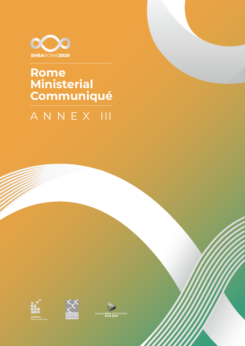

## **Rome** Ministerial<br>Communiqué

## ANNEX III





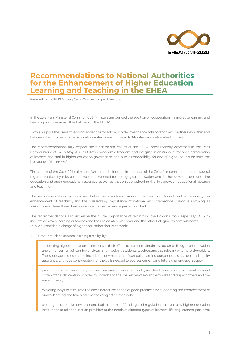

## **Recommendations to National Authorities for the Enhancement of Higher Education Learning and Teaching in the EHEA**

Prepared by the BFUG Advisory Group 2 on Learning and Teaching

In the 2018 Paris Ministerial Communiqué, Ministers announced the addition of "cooperation in innovative learning and teaching practices as another hallmark of the EHEA".

To this purpose the present recommendations for action, in order to enhance collaboration and partnership within and between the European higher education systems, are proposed to Ministers and national authorities.

The recommendations fully respect the fundamental values of the EHEA, most recently expressed in the Paris Communiqué of 24-25 May 2018 as follows: "Academic freedom and integrity, institutional autonomy, participation of learners and staff in higher education governance, and public responsibility for and of higher education form the backbone of the EHEA."

The context of the Covid-19 health crisis further underlines the importance of the Group's recommendations in several regards. Particularly relevant are those on the need for pedagogical innovation and further development of online education and open educational resources, as well as that on strengthening the link between educational research and teaching.

The recommendations summarized below are structured around the need for student-centred learning, the enhancement of teaching, and the overarching importance of national and international dialogue involving all stakeholders. These three themes are interconnected and equally important.

The recommendations also underline the crucial importance of reinforcing the Bologna tools, especially ECTS, to indicate achieved learning outcomes and their associated workload, and the other Bologna key commitments. Public authorities in charge of higher education should commit:

**1.** To make student-centred learning a reality, by:

supporting higher education institutions in their efforts to start or maintain a structured dialogue on innovation and enhancement of learning and teaching, involving students, teachers and also relevant external stakeholders. The issues addressed should include the development of curricula, learning outcomes, assessment and quality assurance, with due consideration for the skills needed to address current and future challenges of society;

promoting, within disciplinary courses, the development of soft skills, and the skills necessary for the enlightened citizen of the 21st century, in order to understand the challenges of a complex world and respect others and the environment;

exploring ways to stimulate the cross-border exchange of good practices for supporting the enhancement of quality learning and teaching, emphasizing active methods;

creating a supportive environment, both in terms of funding and regulation, that enables higher education institutions to tailor education provision to the needs of different types of learners (lifelong learners, part-time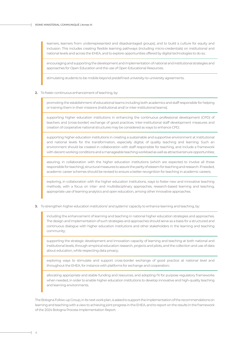learners, learners from underrepresented and disadvantaged groups), and to build a culture for equity and inclusion. This includes creating flexible learning pathways (including micro-credentials) on institutional and national levels and across the EHEA, and to explore opportunities offered by digital technologies to do so;

encouraging and supporting the development and implementation of national and institutional strategies and approaches for Open Education and the use of Open Educational Resources;

stimulating students to be mobile beyond predefined university-to-university agreements.

**2.** To foster continuous enhancement of teaching, by:

promoting the establishment of educational teams including both academics and staff responsible for helping or training them in their missions (institutional and/ or inter-institutional teams);

supporting higher education institutions in enhancing the continuous professional development (CPD) of teachers and (cross-border) exchange of good practices. Inter-institutional staff development measures and creation of cooperative national structures may be considered as ways to enhance CPD;

supporting higher education institutions in creating a sustainable and supportive environment at institutional and national levels for the transformation, especially digital, of quality teaching and learning. Such an environment should be created in collaboration with staff responsible for teaching, and include a framework with decent working conditions and a manageable teaching workload as well as attractive tenure opportunities;

assuring, in collaboration with the higher education institutions (which are expected to involve all those responsible for teaching), structural measures to assure the parity of esteem for teaching and research. If needed, academic career schemes should be revised to ensure a better recognition for teaching in academic careers;

exploring, in collaboration with the higher education institutions, ways to foster new and innovative teaching methods, with a focus on inter- and multidisciplinary approaches, research-based learning and teaching, appropriate use of learning analytics and open education, among other innovative approaches.

To strengthen higher education institutions' and systems' capacity to enhance learning and teaching, by: **3.**

including the enhancement of learning and teaching in national higher education strategies and approaches. The design and implementation of such strategies and approaches should serve as a basis for a structured and continuous dialogue with higher education institutions and other stakeholders in the learning and teaching community;

supporting the strategic development and innovation capacity of learning and teaching at both national and institutional levels, through empirical education research, projects and pilots, and the collection and use of data about education, while respecting data privacy;

exploring ways to stimulate and support cross-border exchange of good practice at national level and throughout the EHEA, for instance with platforms for exchange and cooperation;

allocating appropriate and stable funding and resources, and adopting fit for purpose regulatory frameworks when needed, in order to enable higher education institutions to develop innovative and high-quality teaching and learning environments.

The Bologna Follow-up Group, in its next work plan, is asked to support the implementation of the recommendations on learning and teaching with a view to achieving joint progress in the EHEA, and to report on the results in the framework of the 2024 Bologna Process Implementation Report.